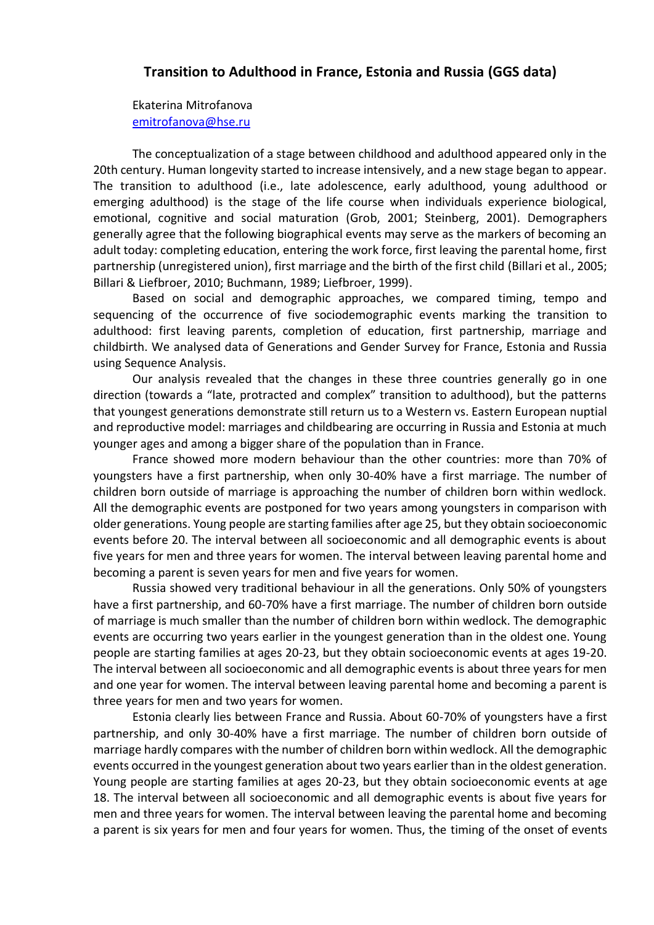## **Transition to Adulthood in [France, Estonia and Russia](https://publications.hse.ru/view/212620449) (GGS data)**

Ekaterina Mitrofanova [emitrofanova@hse.ru](mailto:emitrofanova@hse.ru)

The conceptualization of a stage between childhood and adulthood appeared only in the 20th century. Human longevity started to increase intensively, and a new stage began to appear. The transition to adulthood (i.e., late adolescence, early adulthood, young adulthood or emerging adulthood) is the stage of the life course when individuals experience biological, emotional, cognitive and social maturation (Grob, 2001; Steinberg, 2001). Demographers generally agree that the following biographical events may serve as the markers of becoming an adult today: completing education, entering the work force, first leaving the parental home, first partnership (unregistered union), first marriage and the birth of the first child (Billari et al., 2005; Billari & Liefbroer, 2010; Buchmann, 1989; Liefbroer, 1999).

Based on social and demographic approaches, we compared timing, tempo and sequencing of the occurrence of five sociodemographic events marking the transition to adulthood: first leaving parents, completion of education, first partnership, marriage and childbirth. We analysed data of Generations and Gender Survey for France, Estonia and Russia using Sequence Analysis.

Our analysis revealed that the changes in these three countries generally go in one direction (towards a "late, protracted and complex" transition to adulthood), but the patterns that youngest generations demonstrate still return us to a Western vs. Eastern European nuptial and reproductive model: marriages and childbearing are occurring in Russia and Estonia at much younger ages and among a bigger share of the population than in France.

France showed more modern behaviour than the other countries: more than 70% of youngsters have a first partnership, when only 30-40% have a first marriage. The number of children born outside of marriage is approaching the number of children born within wedlock. All the demographic events are postponed for two years among youngsters in comparison with older generations. Young people are starting families after age 25, but they obtain socioeconomic events before 20. The interval between all socioeconomic and all demographic events is about five years for men and three years for women. The interval between leaving parental home and becoming a parent is seven years for men and five years for women.

Russia showed very traditional behaviour in all the generations. Only 50% of youngsters have a first partnership, and 60-70% have a first marriage. The number of children born outside of marriage is much smaller than the number of children born within wedlock. The demographic events are occurring two years earlier in the youngest generation than in the oldest one. Young people are starting families at ages 20-23, but they obtain socioeconomic events at ages 19-20. The interval between all socioeconomic and all demographic events is about three years for men and one year for women. The interval between leaving parental home and becoming a parent is three years for men and two years for women.

Estonia clearly lies between France and Russia. About 60-70% of youngsters have a first partnership, and only 30-40% have a first marriage. The number of children born outside of marriage hardly compares with the number of children born within wedlock. All the demographic events occurred in the youngest generation about two years earlier than in the oldest generation. Young people are starting families at ages 20-23, but they obtain socioeconomic events at age 18. The interval between all socioeconomic and all demographic events is about five years for men and three years for women. The interval between leaving the parental home and becoming a parent is six years for men and four years for women. Thus, the timing of the onset of events